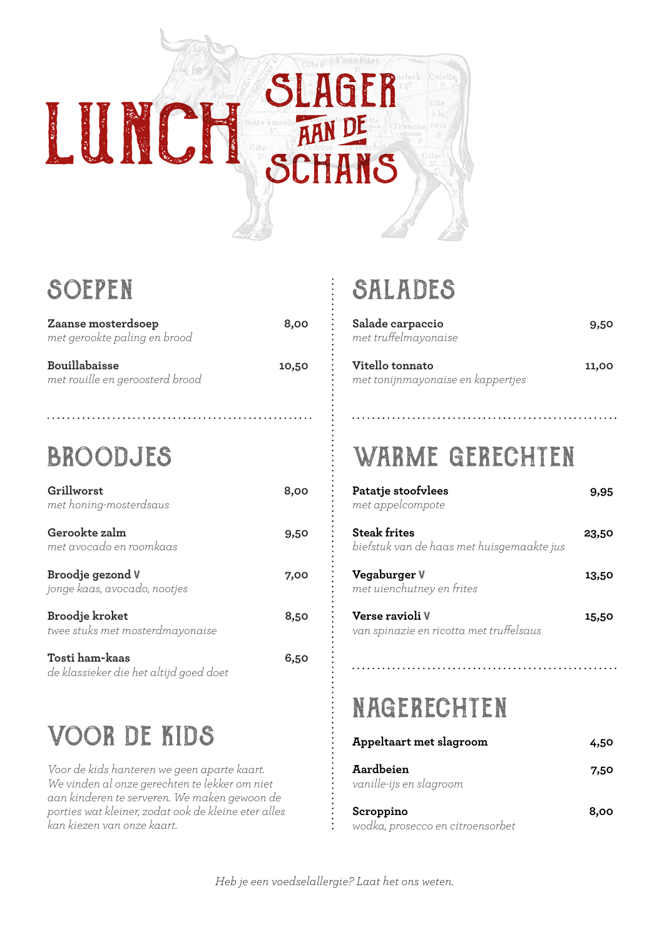

### **SOEPEN**

| Zaanse mosterdsoep<br>met gerookte paling en brood      | 8,00  |
|---------------------------------------------------------|-------|
| <b>Bouillabaisse</b><br>met rouille en geroosterd brood | 10,50 |

### **BROODJES**

| Grillworst<br>met honing-mosterdsaus              | 8,00 |
|---------------------------------------------------|------|
| Gerookte zalm<br>met avocado en roomkaas          | 9,50 |
| Broodje gezond V<br>jonge kaas, avocado, nootjes  | 7,00 |
| Broodje kroket<br>twee stuks met mosterdmayonaise | 8.50 |
|                                                   |      |

**Tosti ham-kaas 6,50** *de klassieker die het altijd goed doet*

# voor de kids

*Voor de kids hanteren we geen aparte kaart. We vinden al onze gerechten te lekker om niet aan kinderen te serveren. We maken gewoon de porties wat kleiner, zodat ook de kleine eter alles kan kiezen van onze kaart.* 

# salades

**Salade carpaccio 9,50** *met truffelmayonaise*

**Vitello tonnato 11,00** *met tonijnmayonaise en kappertjes*

# WARME GERECHTEN

| Patatje stoofvlees<br>met appelcompote                           | 9,95  |
|------------------------------------------------------------------|-------|
| <b>Steak frites</b><br>biefstuk van de haas met huisgemaakte jus | 23,50 |
| Vegaburger V<br>met uienchutney en frites                        | 13.50 |
| Verse ravioli V<br>van spinazie en ricotta met truffelsaus       | 15.50 |

# nagerechten

| Appeltaart met slagroom              | 4.50 |
|--------------------------------------|------|
| Aardbeien<br>vanille-ijs en slagroom | 7,50 |
| Scroppino                            | 8,00 |

*wodka, prosecco en citroensorbet*